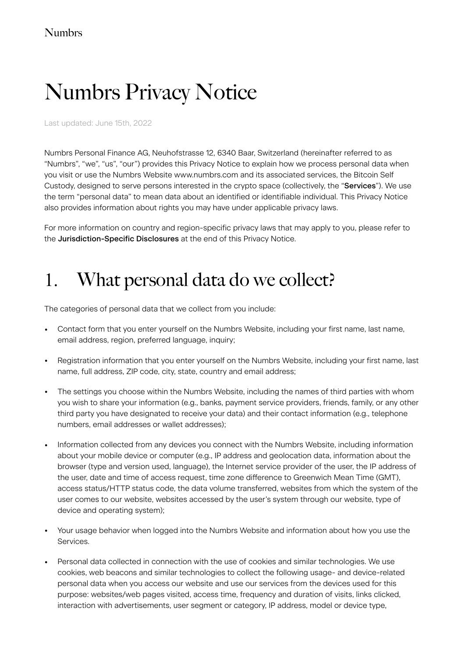# Numbrs Privacy Notice

Last updated: June 15th, 2022

Numbrs Personal Finance AG, Neuhofstrasse 12, 6340 Baar, Switzerland (hereinafter referred to as "Numbrs", "we", "us", "our") provides this Privacy Notice to explain how we process personal data when you visit or use the Numbrs Website www.numbrs.com and its associated services, the Bitcoin Self Custody, designed to serve persons interested in the crypto space (collectively, the "Services"). We use the term "personal data" to mean data about an identified or identifiable individual. This Privacy Notice also provides information about rights you may have under applicable privacy laws.

For more information on country and region-specific privacy laws that may apply to you, please refer to the Jurisdiction-Specific Disclosures at the end of this Privacy Notice.

### 1. What personal data do we collect?

The categories of personal data that we collect from you include:

- Contact form that you enter yourself on the Numbrs Website, including your first name, last name, email address, region, preferred language, inquiry;
- Registration information that you enter yourself on the Numbrs Website, including your first name, last name, full address, ZIP code, city, state, country and email address;
- The settings you choose within the Numbrs Website, including the names of third parties with whom you wish to share your information (e.g., banks, payment service providers, friends, family, or any other third party you have designated to receive your data) and their contact information (e.g., telephone numbers, email addresses or wallet addresses);
- Information collected from any devices you connect with the Numbrs Website, including information about your mobile device or computer (e.g., IP address and geolocation data, information about the browser (type and version used, language), the Internet service provider of the user, the IP address of the user, date and time of access request, time zone difference to Greenwich Mean Time (GMT), access status/HTTP status code, the data volume transferred, websites from which the system of the user comes to our website, websites accessed by the user's system through our website, type of device and operating system);
- Your usage behavior when logged into the Numbrs Website and information about how you use the Services.
- Personal data collected in connection with the use of cookies and similar technologies. We use cookies, web beacons and similar technologies to collect the following usage- and device-related personal data when you access our website and use our services from the devices used for this purpose: websites/web pages visited, access time, frequency and duration of visits, links clicked, interaction with advertisements, user segment or category, IP address, model or device type,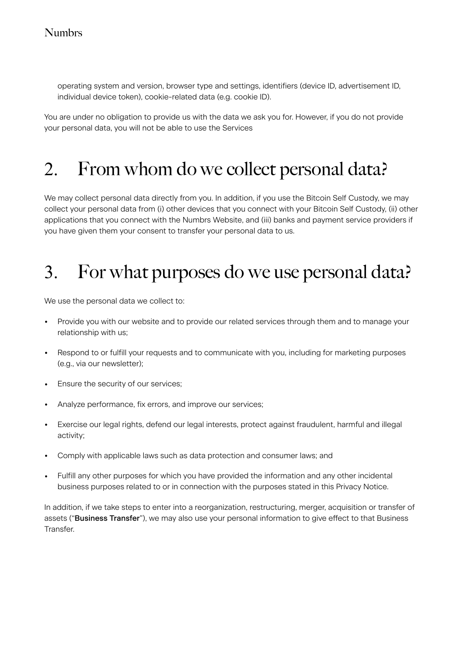operating system and version, browser type and settings, identifiers (device ID, advertisement ID, individual device token), cookie-related data (e.g. cookie ID).

You are under no obligation to provide us with the data we ask you for. However, if you do not provide your personal data, you will not be able to use the Services

#### 2. From whom do we collect personal data?

We may collect personal data directly from you. In addition, if you use the Bitcoin Self Custody, we may collect your personal data from (i) other devices that you connect with your Bitcoin Self Custody, (ii) other applications that you connect with the Numbrs Website, and (iii) banks and payment service providers if you have given them your consent to transfer your personal data to us.

## 3. For what purposes do we use personal data?

We use the personal data we collect to:

- Provide you with our website and to provide our related services through them and to manage your relationship with us;
- Respond to or fulfill your requests and to communicate with you, including for marketing purposes (e.g., via our newsletter);
- Ensure the security of our services;
- Analyze performance, fix errors, and improve our services;
- Exercise our legal rights, defend our legal interests, protect against fraudulent, harmful and illegal activity;
- Comply with applicable laws such as data protection and consumer laws; and
- Fulfill any other purposes for which you have provided the information and any other incidental business purposes related to or in connection with the purposes stated in this Privacy Notice.

In addition, if we take steps to enter into a reorganization, restructuring, merger, acquisition or transfer of assets ("Business Transfer"), we may also use your personal information to give effect to that Business Transfer.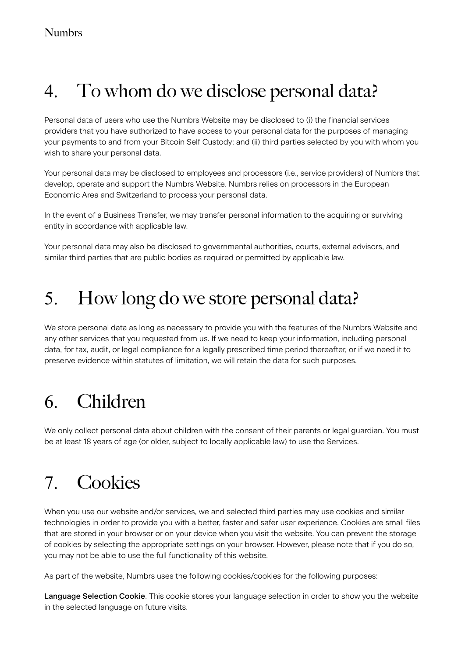### 4. To whom do we disclose personal data?

Personal data of users who use the Numbrs Website may be disclosed to (i) the financial services providers that you have authorized to have access to your personal data for the purposes of managing your payments to and from your Bitcoin Self Custody; and (ii) third parties selected by you with whom you wish to share your personal data.

Your personal data may be disclosed to employees and processors (i.e., service providers) of Numbrs that develop, operate and support the Numbrs Website. Numbrs relies on processors in the European Economic Area and Switzerland to process your personal data.

In the event of a Business Transfer, we may transfer personal information to the acquiring or surviving entity in accordance with applicable law.

Your personal data may also be disclosed to governmental authorities, courts, external advisors, and similar third parties that are public bodies as required or permitted by applicable law.

#### 5. How long do we store personal data?

We store personal data as long as necessary to provide you with the features of the Numbrs Website and any other services that you requested from us. If we need to keep your information, including personal data, for tax, audit, or legal compliance for a legally prescribed time period thereafter, or if we need it to preserve evidence within statutes of limitation, we will retain the data for such purposes.

## 6. Children

We only collect personal data about children with the consent of their parents or legal guardian. You must be at least 18 years of age (or older, subject to locally applicable law) to use the Services.

## 7. Cookies

When you use our website and/or services, we and selected third parties may use cookies and similar technologies in order to provide you with a better, faster and safer user experience. Cookies are small files that are stored in your browser or on your device when you visit the website. You can prevent the storage of cookies by selecting the appropriate settings on your browser. However, please note that if you do so, you may not be able to use the full functionality of this website.

As part of the website, Numbrs uses the following cookies/cookies for the following purposes:

Language Selection Cookie. This cookie stores your language selection in order to show you the website in the selected language on future visits.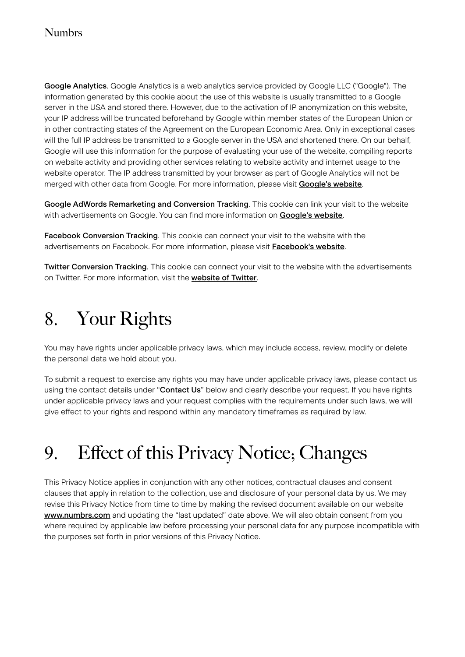#### Numbrs

Google Analytics. Google Analytics is a web analytics service provided by Google LLC ("Google"). The information generated by this cookie about the use of this website is usually transmitted to a Google server in the USA and stored there. However, due to the activation of IP anonymization on this website, your IP address will be truncated beforehand by Google within member states of the European Union or in other contracting states of the Agreement on the European Economic Area. Only in exceptional cases will the full IP address be transmitted to a Google server in the USA and shortened there. On our behalf, Google will use this information for the purpose of evaluating your use of the website, compiling reports on website activity and providing other services relating to website activity and internet usage to the website operator. The IP address transmitted by your browser as part of Google Analytics will not be merged with other data from Google. For more information, please visit [Google's website](https://policies.google.com/privacy?hl=de).

Google AdWords Remarketing and Conversion Tracking. This cookie can link your visit to the website with advertisements on Google. You can find more information on **[Google's website](https://policies.google.com/privacy?hl=de)**.

Facebook Conversion Tracking. This cookie can connect your visit to the website with the advertisements on Facebook. For more information, please visit [Facebook's website](https://www.facebook.com/policy.php).

Twitter Conversion Tracking. This cookie can connect your visit to the website with the advertisements on Twitter. For more information, visit the **[website of Twitter](https://twitter.com/privacy?lang=en)**.

### 8. Your Rights

You may have rights under applicable privacy laws, which may include access, review, modify or delete the personal data we hold about you.

To submit a request to exercise any rights you may have under applicable privacy laws, please contact us using the contact details under "Contact Us" below and clearly describe your request. If you have rights under applicable privacy laws and your request complies with the requirements under such laws, we will give effect to your rights and respond within any mandatory timeframes as required by law.

## 9. Effect of this Privacy Notice; Changes

This Privacy Notice applies in conjunction with any other notices, contractual clauses and consent clauses that apply in relation to the collection, use and disclosure of your personal data by us. We may revise this Privacy Notice from time to time by making the revised document available on our website [www.numbrs.com](http://www.numbrs.com) and updating the "last updated" date above. We will also obtain consent from you where required by applicable law before processing your personal data for any purpose incompatible with the purposes set forth in prior versions of this Privacy Notice.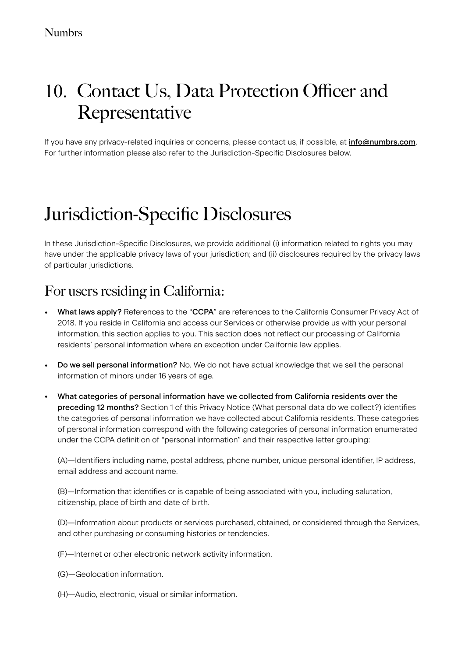### 10. Contact Us, Data Protection Officer and Representative

If you have any privacy-related inquiries or concerns, please contact us, if possible, at [info@numbrs.com](mailto:no_reply@apple.com). For further information please also refer to the Jurisdiction-Specific Disclosures below.

### Jurisdiction-Specific Disclosures

In these Jurisdiction-Specific Disclosures, we provide additional (i) information related to rights you may have under the applicable privacy laws of your jurisdiction; and (ii) disclosures required by the privacy laws of particular jurisdictions.

#### For users residing in California:

- What laws apply? References to the "CCPA" are references to the California Consumer Privacy Act of 2018. If you reside in California and access our Services or otherwise provide us with your personal information, this section applies to you. This section does not reflect our processing of California residents' personal information where an exception under California law applies.
- Do we sell personal information? No. We do not have actual knowledge that we sell the personal information of minors under 16 years of age.
- What categories of personal information have we collected from California residents over the preceding 12 months? Section 1 of this Privacy Notice (What personal data do we collect?) identifies the categories of personal information we have collected about California residents. These categories of personal information correspond with the following categories of personal information enumerated under the CCPA definition of "personal information" and their respective letter grouping:

(A)—Identifiers including name, postal address, phone number, unique personal identifier, IP address, email address and account name.

(B)—Information that identifies or is capable of being associated with you, including salutation, citizenship, place of birth and date of birth.

(D)—Information about products or services purchased, obtained, or considered through the Services, and other purchasing or consuming histories or tendencies.

(F)—Internet or other electronic network activity information.

- (G)—Geolocation information.
- (H)—Audio, electronic, visual or similar information.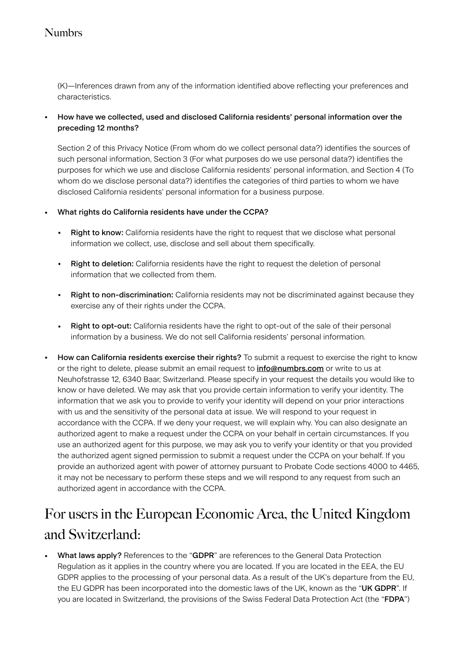#### Numbrs

(K)—Inferences drawn from any of the information identified above reflecting your preferences and characteristics.

#### • How have we collected, used and disclosed California residents' personal information over the preceding 12 months?

Section 2 of this Privacy Notice (From whom do we collect personal data?) identifies the sources of such personal information, Section 3 (For what purposes do we use personal data?) identifies the purposes for which we use and disclose California residents' personal information, and Section 4 (To whom do we disclose personal data?) identifies the categories of third parties to whom we have disclosed California residents' personal information for a business purpose.

#### • What rights do California residents have under the CCPA?

- Right to know: California residents have the right to request that we disclose what personal information we collect, use, disclose and sell about them specifically.
- Right to deletion: California residents have the right to request the deletion of personal information that we collected from them.
- Right to non-discrimination: California residents may not be discriminated against because they exercise any of their rights under the CCPA.
- Right to opt-out: California residents have the right to opt-out of the sale of their personal information by a business. We do not sell California residents' personal information.
- How can California residents exercise their rights? To submit a request to exercise the right to know or the right to delete, please submit an email request to *[info@numbrs.com](mailto:no_reply@apple.com)* or write to us at Neuhofstrasse 12, 6340 Baar, Switzerland. Please specify in your request the details you would like to know or have deleted. We may ask that you provide certain information to verify your identity. The information that we ask you to provide to verify your identity will depend on your prior interactions with us and the sensitivity of the personal data at issue. We will respond to your request in accordance with the CCPA. If we deny your request, we will explain why. You can also designate an authorized agent to make a request under the CCPA on your behalf in certain circumstances. If you use an authorized agent for this purpose, we may ask you to verify your identity or that you provided the authorized agent signed permission to submit a request under the CCPA on your behalf. If you provide an authorized agent with power of attorney pursuant to Probate Code sections 4000 to 4465, it may not be necessary to perform these steps and we will respond to any request from such an authorized agent in accordance with the CCPA.

#### For users in the European Economic Area, the United Kingdom and Switzerland:

• What laws apply? References to the "GDPR" are references to the General Data Protection Regulation as it applies in the country where you are located. If you are located in the EEA, the EU GDPR applies to the processing of your personal data. As a result of the UK's departure from the EU, the EU GDPR has been incorporated into the domestic laws of the UK, known as the "UK GDPR". If you are located in Switzerland, the provisions of the Swiss Federal Data Protection Act (the "FDPA")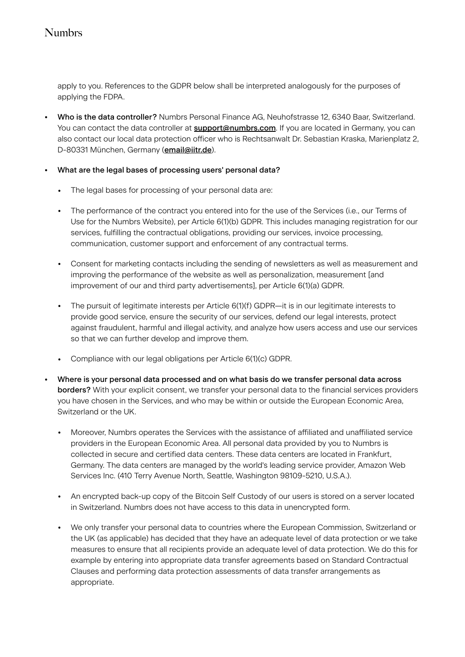#### Numbrs

apply to you. References to the GDPR below shall be interpreted analogously for the purposes of applying the FDPA.

• Who is the data controller? Numbrs Personal Finance AG, Neuhofstrasse 12, 6340 Baar, Switzerland. You can contact the data controller at **[support@numbrs.com](mailto:no_reply@apple.com)**. If you are located in Germany, you can also contact our local data protection officer who is Rechtsanwalt Dr. Sebastian Kraska, Marienplatz 2, D-80331 München, Germany ([email@iitr.de](mailto:no_reply@apple.com)).

#### • What are the legal bases of processing users' personal data?

- The legal bases for processing of your personal data are:
- The performance of the contract you entered into for the use of the Services (i.e., our Terms of Use for the Numbrs Website), per Article 6(1)(b) GDPR. This includes managing registration for our services, fulfilling the contractual obligations, providing our services, invoice processing, communication, customer support and enforcement of any contractual terms.
- Consent for marketing contacts including the sending of newsletters as well as measurement and improving the performance of the website as well as personalization, measurement [and improvement of our and third party advertisements], per Article 6(1)(a) GDPR.
- The pursuit of legitimate interests per Article 6(1)(f) GDPR—it is in our legitimate interests to provide good service, ensure the security of our services, defend our legal interests, protect against fraudulent, harmful and illegal activity, and analyze how users access and use our services so that we can further develop and improve them.
- Compliance with our legal obligations per Article 6(1)(c) GDPR.
- Where is your personal data processed and on what basis do we transfer personal data across borders? With your explicit consent, we transfer your personal data to the financial services providers you have chosen in the Services, and who may be within or outside the European Economic Area, Switzerland or the UK.
	- Moreover, Numbrs operates the Services with the assistance of affiliated and unaffiliated service providers in the European Economic Area. All personal data provided by you to Numbrs is collected in secure and certified data centers. These data centers are located in Frankfurt, Germany. The data centers are managed by the world's leading service provider, Amazon Web Services Inc. (410 Terry Avenue North, Seattle, Washington 98109-5210, U.S.A.).
	- An encrypted back-up copy of the Bitcoin Self Custody of our users is stored on a server located in Switzerland. Numbrs does not have access to this data in unencrypted form.
	- We only transfer your personal data to countries where the European Commission, Switzerland or the UK (as applicable) has decided that they have an adequate level of data protection or we take measures to ensure that all recipients provide an adequate level of data protection. We do this for example by entering into appropriate data transfer agreements based on Standard Contractual Clauses and performing data protection assessments of data transfer arrangements as appropriate.